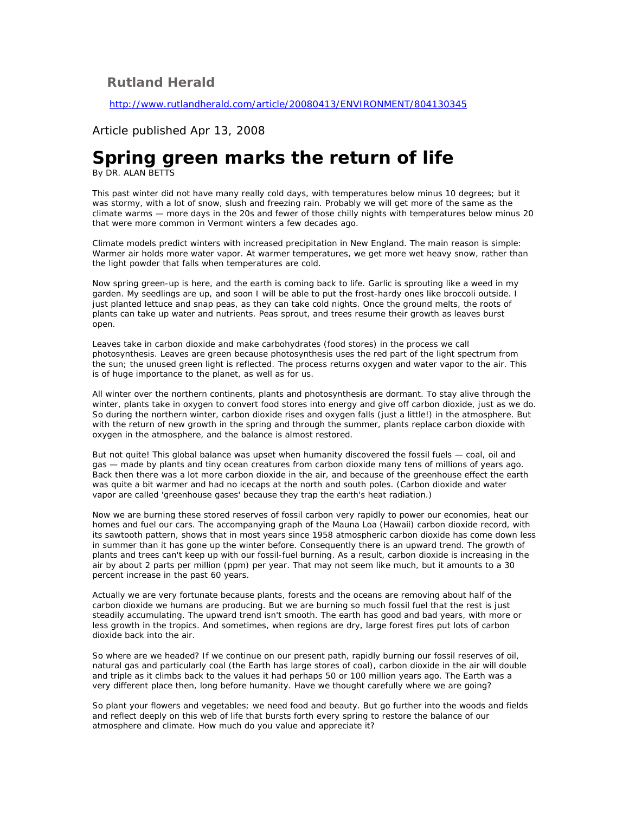## **Rutland Herald**

<http://www.rutlandherald.com/article/20080413/ENVIRONMENT/804130345>

## Article published Apr 13, 2008

## **Spring green marks the return of life**

By DR. ALAN BETTS

This past winter did not have many really cold days, with temperatures below minus 10 degrees; but it was stormy, with a lot of snow, slush and freezing rain. Probably we will get more of the same as the climate warms — more days in the 20s and fewer of those chilly nights with temperatures below minus 20 that were more common in Vermont winters a few decades ago.

Climate models predict winters with increased precipitation in New England. The main reason is simple: Warmer air holds more water vapor. At warmer temperatures, we get more wet heavy snow, rather than the light powder that falls when temperatures are cold.

Now spring green-up is here, and the earth is coming back to life. Garlic is sprouting like a weed in my garden. My seedlings are up, and soon I will be able to put the frost-hardy ones like broccoli outside. I just planted lettuce and snap peas, as they can take cold nights. Once the ground melts, the roots of plants can take up water and nutrients. Peas sprout, and trees resume their growth as leaves burst open.

Leaves take in carbon dioxide and make carbohydrates (food stores) in the process we call photosynthesis. Leaves are green because photosynthesis uses the red part of the light spectrum from the sun; the unused green light is reflected. The process returns oxygen and water vapor to the air. This is of huge importance to the planet, as well as for us.

All winter over the northern continents, plants and photosynthesis are dormant. To stay alive through the winter, plants take in oxygen to convert food stores into energy and give off carbon dioxide, just as we do. So during the northern winter, carbon dioxide rises and oxygen falls (just a little!) in the atmosphere. But with the return of new growth in the spring and through the summer, plants replace carbon dioxide with oxygen in the atmosphere, and the balance is almost restored.

But not quite! This global balance was upset when humanity discovered the fossil fuels — coal, oil and gas — made by plants and tiny ocean creatures from carbon dioxide many tens of millions of years ago. Back then there was a lot more carbon dioxide in the air, and because of the greenhouse effect the earth was quite a bit warmer and had no icecaps at the north and south poles. (Carbon dioxide and water vapor are called 'greenhouse gases' because they trap the earth's heat radiation.)

Now we are burning these stored reserves of fossil carbon very rapidly to power our economies, heat our homes and fuel our cars. The accompanying graph of the Mauna Loa (Hawaii) carbon dioxide record, with its sawtooth pattern, shows that in most years since 1958 atmospheric carbon dioxide has come down less in summer than it has gone up the winter before. Consequently there is an upward trend. The growth of plants and trees can't keep up with our fossil-fuel burning. As a result, carbon dioxide is increasing in the air by about 2 parts per million (ppm) per year. That may not seem like much, but it amounts to a 30 percent increase in the past 60 years.

Actually we are very fortunate because plants, forests and the oceans are removing about half of the carbon dioxide we humans are producing. But we are burning so much fossil fuel that the rest is just steadily accumulating. The upward trend isn't smooth. The earth has good and bad years, with more or less growth in the tropics. And sometimes, when regions are dry, large forest fires put lots of carbon dioxide back into the air.

So where are we headed? If we continue on our present path, rapidly burning our fossil reserves of oil, natural gas and particularly coal (the Earth has large stores of coal), carbon dioxide in the air will double and triple as it climbs back to the values it had perhaps 50 or 100 million years ago. The Earth was a very different place then, long before humanity. Have we thought carefully where we are going?

So plant your flowers and vegetables; we need food and beauty. But go further into the woods and fields and reflect deeply on this web of life that bursts forth every spring to restore the balance of our atmosphere and climate. How much do you value and appreciate it?